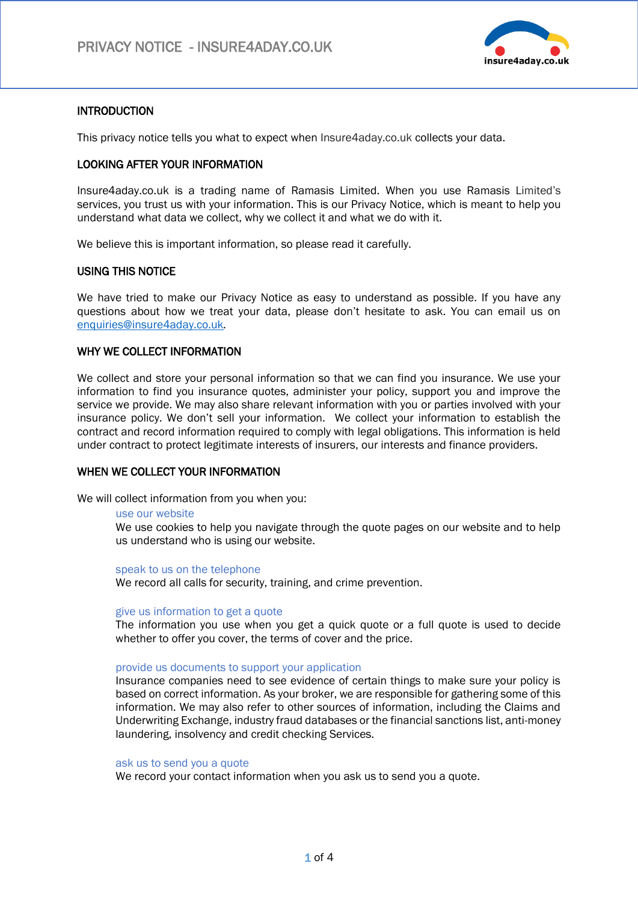

# INTRODUCTION

This privacy notice tells you what to expect when Insure4aday.co.uk collects your data.

## LOOKING AFTER YOUR INFORMATION

Insure4aday.co.uk is a trading name of Ramasis Limited. When you use Ramasis Limited's services, you trust us with your information. This is our Privacy Notice, which is meant to help you understand what data we collect, why we collect it and what we do with it.

We believe this is important information, so please read it carefully.

### USING THIS NOTICE

We have tried to make our Privacy Notice as easy to understand as possible. If you have any questions about how we treat your data, please don't hesitate to ask. You can email us on [enquiries@insure4aday.co.uk](mailto:enquiries@insure4aday.co.uk)*.* 

## WHY WE COLLECT INFORMATION

We collect and store your personal information so that we can find you insurance. We use your information to find you insurance quotes, administer your policy, support you and improve the service we provide. We may also share relevant information with you or parties involved with your insurance policy. We don't sell your information. We collect your information to establish the contract and record information required to comply with legal obligations. This information is held under contract to protect legitimate interests of insurers, our interests and finance providers.

### WHEN WE COLLECT YOUR INFORMATION

We will collect information from you when you:

#### use our website

We use cookies to help you navigate through the quote pages on our website and to help us understand who is using our website.

speak to us on the telephone

We record all calls for security, training, and crime prevention.

#### give us information to get a quote

The information you use when you get a quick quote or a full quote is used to decide whether to offer you cover, the terms of cover and the price.

#### provide us documents to support your application

Insurance companies need to see evidence of certain things to make sure your policy is based on correct information. As your broker, we are responsible for gathering some of this information. We may also refer to other sources of information, including the Claims and Underwriting Exchange, industry fraud databases or the financial sanctions list, anti-money laundering, insolvency and credit checking Services.

#### ask us to send you a quote

We record your contact information when you ask us to send you a quote.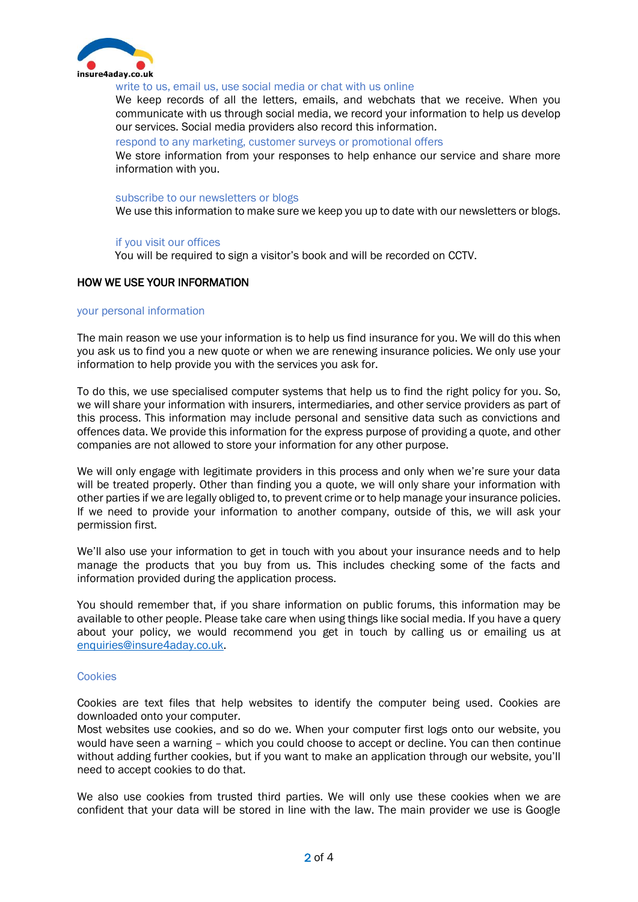

#### write to us, email us, use social media or chat with us online

We keep records of all the letters, emails, and webchats that we receive. When you communicate with us through social media, we record your information to help us develop our services. Social media providers also record this information.

respond to any marketing, customer surveys or promotional offers

We store information from your responses to help enhance our service and share more information with you.

#### subscribe to our newsletters or blogs

We use this information to make sure we keep you up to date with our newsletters or blogs.

#### if you visit our offices

You will be required to sign a visitor's book and will be recorded on CCTV.

### HOW WE USE YOUR INFORMATION

### your personal information

The main reason we use your information is to help us find insurance for you. We will do this when you ask us to find you a new quote or when we are renewing insurance policies. We only use your information to help provide you with the services you ask for.

To do this, we use specialised computer systems that help us to find the right policy for you. So, we will share your information with insurers, intermediaries, and other service providers as part of this process. This information may include personal and sensitive data such as convictions and offences data. We provide this information for the express purpose of providing a quote, and other companies are not allowed to store your information for any other purpose.

We will only engage with legitimate providers in this process and only when we're sure your data will be treated properly. Other than finding you a quote, we will only share your information with other parties if we are legally obliged to, to prevent crime or to help manage your insurance policies. If we need to provide your information to another company, outside of this, we will ask your permission first.

We'll also use your information to get in touch with you about your insurance needs and to help manage the products that you buy from us. This includes checking some of the facts and information provided during the application process.

You should remember that, if you share information on public forums, this information may be available to other people. Please take care when using things like social media. If you have a query about your policy, we would recommend you get in touch by calling us or emailing us at [enquiries@insure4aday.co.uk.](mailto:enquiries@insure4aday.co.uk)

#### **Cookies**

Cookies are text files that help websites to identify the computer being used. Cookies are downloaded onto your computer.

Most websites use cookies, and so do we. When your computer first logs onto our website, you would have seen a warning – which you could choose to accept or decline. You can then continue without adding further cookies, but if you want to make an application through our website, you'll need to accept cookies to do that.

We also use cookies from trusted third parties. We will only use these cookies when we are confident that your data will be stored in line with the law. The main provider we use is Google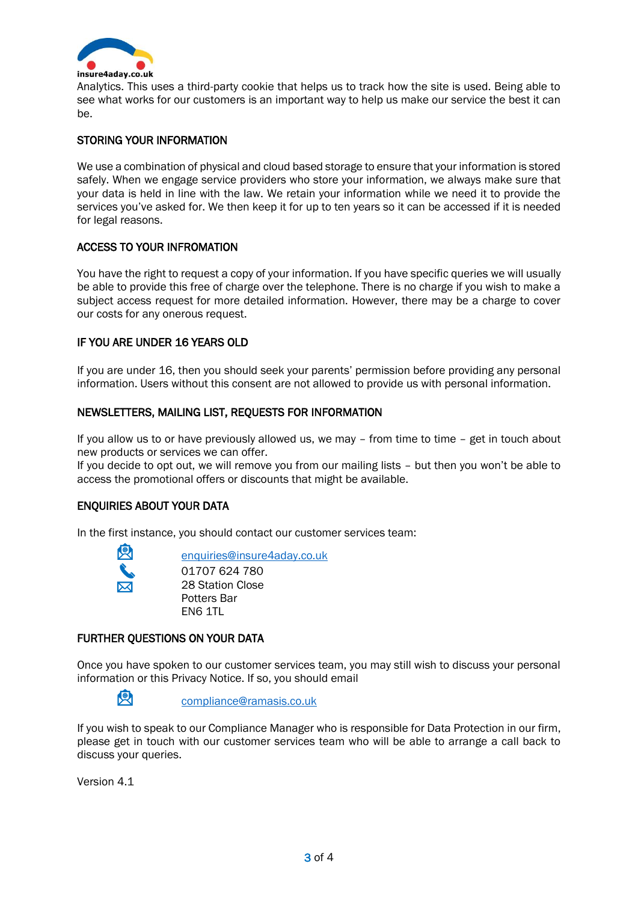

Analytics. This uses a third-party cookie that helps us to track how the site is used. Being able to see what works for our customers is an important way to help us make our service the best it can be.

# STORING YOUR INFORMATION

We use a combination of physical and cloud based storage to ensure that your information is stored safely. When we engage service providers who store your information, we always make sure that your data is held in line with the law. We retain your information while we need it to provide the services you've asked for. We then keep it for up to ten years so it can be accessed if it is needed for legal reasons.

## ACCESS TO YOUR INFROMATION

You have the right to request a copy of your information. If you have specific queries we will usually be able to provide this free of charge over the telephone. There is no charge if you wish to make a subject access request for more detailed information. However, there may be a charge to cover our costs for any onerous request.

## IF YOU ARE UNDER 16 YEARS OLD

If you are under 16, then you should seek your parents' permission before providing any personal information. Users without this consent are not allowed to provide us with personal information.

## NEWSLETTERS, MAILING LIST, REQUESTS FOR INFORMATION

If you allow us to or have previously allowed us, we may – from time to time – get in touch about new products or services we can offer.

If you decide to opt out, we will remove you from our mailing lists – but then you won't be able to access the promotional offers or discounts that might be available.

### ENQUIRIES ABOUT YOUR DATA

In the first instance, you should contact our customer services team:



[enquiries@insure4aday.co.uk](mailto:enquiries@insure4aday.co.uk)

01707 624 780 28 Station Close Potters Bar EN6 1TL

# FURTHER QUESTIONS ON YOUR DATA

Once you have spoken to our customer services team, you may still wish to discuss your personal information or this Privacy Notice. If so, you should email



[compliance@ramasis.co.uk](mailto:compliance@ramasis.co.uk)

If you wish to speak to our Compliance Manager who is responsible for Data Protection in our firm, please get in touch with our customer services team who will be able to arrange a call back to discuss your queries.

Version 4.1